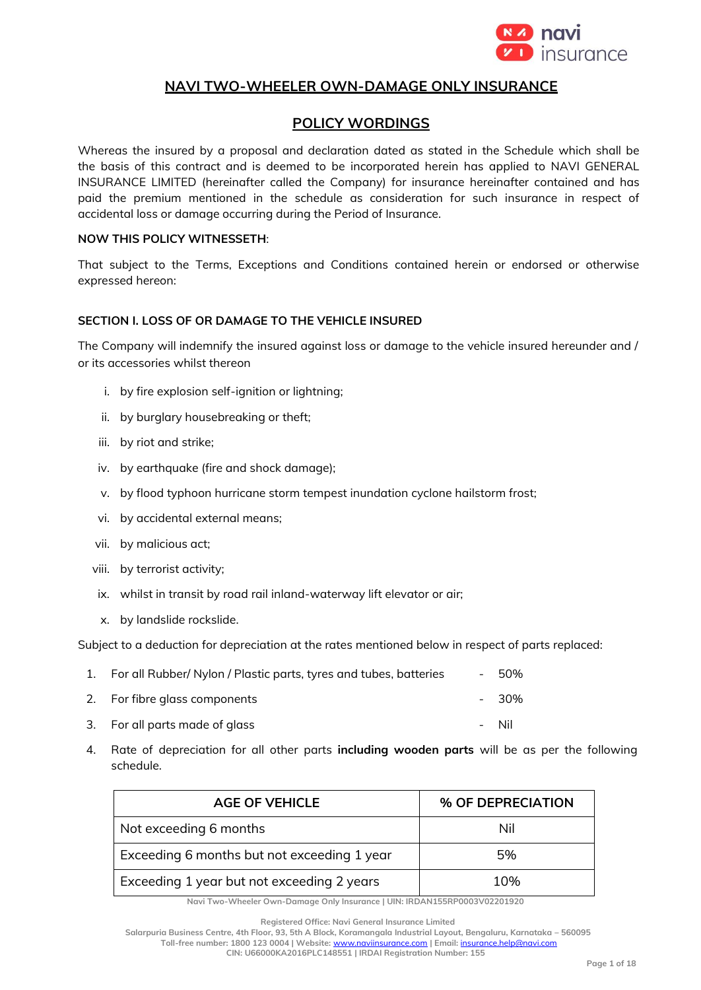

# **NAVI TWO-WHEELER OWN-DAMAGE ONLY INSURANCE**

# **POLICY WORDINGS**

Whereas the insured by a proposal and declaration dated as stated in the Schedule which shall be the basis of this contract and is deemed to be incorporated herein has applied to NAVI GENERAL INSURANCE LIMITED (hereinafter called the Company) for insurance hereinafter contained and has paid the premium mentioned in the schedule as consideration for such insurance in respect of accidental loss or damage occurring during the Period of Insurance.

### **NOW THIS POLICY WITNESSETH**:

That subject to the Terms, Exceptions and Conditions contained herein or endorsed or otherwise expressed hereon:

# **SECTION I. LOSS OF OR DAMAGE TO THE VEHICLE INSURED**

The Company will indemnify the insured against loss or damage to the vehicle insured hereunder and / or its accessories whilst thereon

- i. by fire explosion self-ignition or lightning;
- ii. by burglary housebreaking or theft;
- iii. by riot and strike;
- iv. by earthquake (fire and shock damage);
- v. by flood typhoon hurricane storm tempest inundation cyclone hailstorm frost;
- vi. by accidental external means;
- vii. by malicious act;
- viii. by terrorist activity;
- ix. whilst in transit by road rail inland-waterway lift elevator or air;
- x. by landslide rockslide.

Subject to a deduction for depreciation at the rates mentioned below in respect of parts replaced:

- 1. For all Rubber/ Nylon / Plastic parts, tyres and tubes, batteries 50%
- 2. For fibre glass components **and the set of the set of the set of the set of the set of the set of the set of the set of the set of the set of the set of the set of the set of the set of the set of the set of the set of**
- 3. For all parts made of glass and the set of the set of the set of the set of the Nil
- 4. Rate of depreciation for all other parts **including wooden parts** will be as per the following schedule.

| <b>AGE OF VEHICLE</b>                       | % OF DEPRECIATION |
|---------------------------------------------|-------------------|
| Not exceeding 6 months                      | Nil               |
| Exceeding 6 months but not exceeding 1 year | 5%                |
| Exceeding 1 year but not exceeding 2 years  | 10%               |

**Navi Two-Wheeler Own-Damage Only Insurance | UIN: IRDAN155RP0003V02201920**

**Salarpuria Business Centre, 4th Floor, 93, 5th A Block, Koramangala Industrial Layout, Bengaluru, Karnataka – 560095 Toll-free number: 1800 123 0004 | Website:** [www.naviinsurance.com](http://www.naviinsurance.com/) **| Email:** [insurance.help@navi.com](mailto:insurance.help@navi.com)

**Registered Office: Navi General Insurance Limited**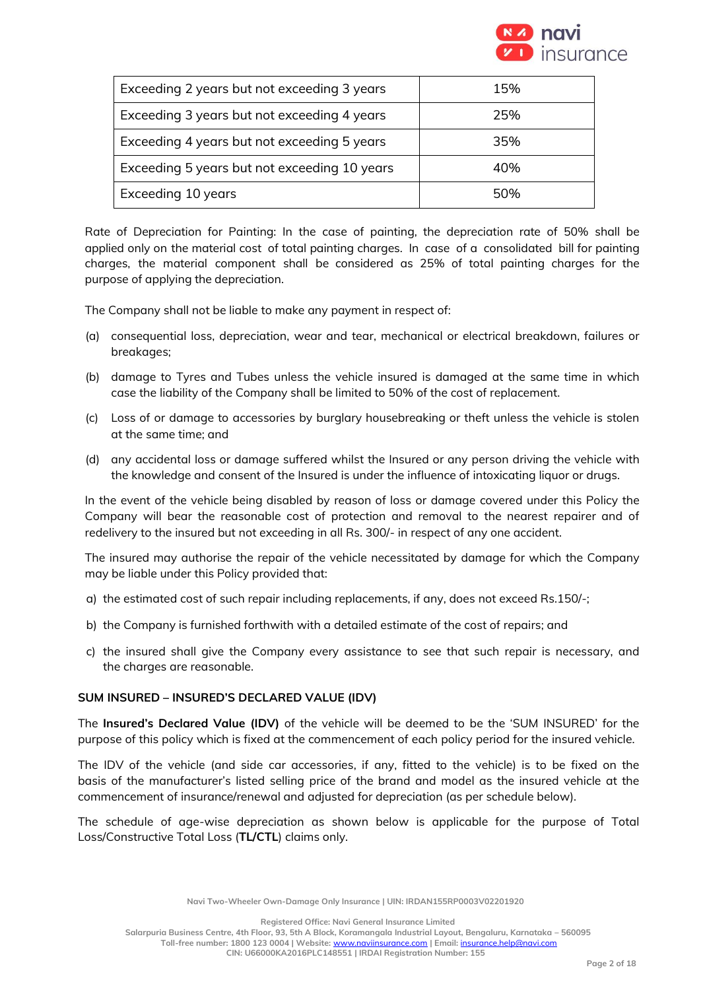

| Exceeding 2 years but not exceeding 3 years  | 15% |
|----------------------------------------------|-----|
| Exceeding 3 years but not exceeding 4 years  | 25% |
| Exceeding 4 years but not exceeding 5 years  | 35% |
| Exceeding 5 years but not exceeding 10 years | 40% |
| Exceeding 10 years                           | 50% |

Rate of Depreciation for Painting: In the case of painting, the depreciation rate of 50% shall be applied only on the material cost of total painting charges. In case of a consolidated bill for painting charges, the material component shall be considered as 25% of total painting charges for the purpose of applying the depreciation.

The Company shall not be liable to make any payment in respect of:

- (a) consequential loss, depreciation, wear and tear, mechanical or electrical breakdown, failures or breakages;
- (b) damage to Tyres and Tubes unless the vehicle insured is damaged at the same time in which case the liability of the Company shall be limited to 50% of the cost of replacement.
- (c) Loss of or damage to accessories by burglary housebreaking or theft unless the vehicle is stolen at the same time; and
- (d) any accidental loss or damage suffered whilst the Insured or any person driving the vehicle with the knowledge and consent of the Insured is under the influence of intoxicating liquor or drugs.

In the event of the vehicle being disabled by reason of loss or damage covered under this Policy the Company will bear the reasonable cost of protection and removal to the nearest repairer and of redelivery to the insured but not exceeding in all Rs. 300/- in respect of any one accident.

The insured may authorise the repair of the vehicle necessitated by damage for which the Company may be liable under this Policy provided that:

- a) the estimated cost of such repair including replacements, if any, does not exceed Rs.150/-;
- b) the Company is furnished forthwith with a detailed estimate of the cost of repairs; and
- c) the insured shall give the Company every assistance to see that such repair is necessary, and the charges are reasonable.

#### **SUM INSURED – INSURED'S DECLARED VALUE (IDV)**

The **Insured's Declared Value (IDV)** of the vehicle will be deemed to be the 'SUM INSURED' for the purpose of this policy which is fixed at the commencement of each policy period for the insured vehicle.

The IDV of the vehicle (and side car accessories, if any, fitted to the vehicle) is to be fixed on the basis of the manufacturer's listed selling price of the brand and model as the insured vehicle at the commencement of insurance/renewal and adjusted for depreciation (as per schedule below).

The schedule of age-wise depreciation as shown below is applicable for the purpose of Total Loss/Constructive Total Loss (**TL/CTL**) claims only.

**Navi Two-Wheeler Own-Damage Only Insurance | UIN: IRDAN155RP0003V02201920**

**Registered Office: Navi General Insurance Limited**

**Salarpuria Business Centre, 4th Floor, 93, 5th A Block, Koramangala Industrial Layout, Bengaluru, Karnataka – 560095 Toll-free number: 1800 123 0004 | Website:** [www.naviinsurance.com](http://www.naviinsurance.com/) **| Email:** [insurance.help@navi.com](mailto:insurance.help@navi.com)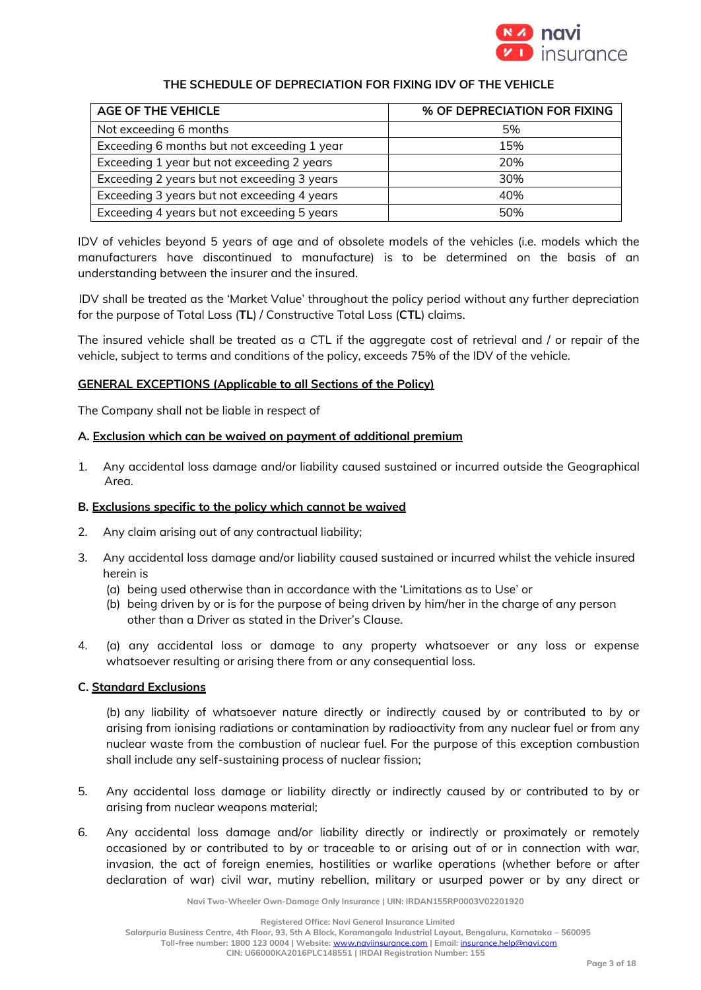

### **THE SCHEDULE OF DEPRECIATION FOR FIXING IDV OF THE VEHICLE**

| <b>AGE OF THE VEHICLE</b>                   | % OF DEPRECIATION FOR FIXING |
|---------------------------------------------|------------------------------|
| Not exceeding 6 months                      | 5%                           |
| Exceeding 6 months but not exceeding 1 year | 15%                          |
| Exceeding 1 year but not exceeding 2 years  | 20%                          |
| Exceeding 2 years but not exceeding 3 years | 30%                          |
| Exceeding 3 years but not exceeding 4 years | 40%                          |
| Exceeding 4 years but not exceeding 5 years | 50%                          |

IDV of vehicles beyond 5 years of age and of obsolete models of the vehicles (i.e. models which the manufacturers have discontinued to manufacture) is to be determined on the basis of an understanding between the insurer and the insured.

IDV shall be treated as the 'Market Value' throughout the policy period without any further depreciation for the purpose of Total Loss (**TL**) / Constructive Total Loss (**CTL**) claims.

The insured vehicle shall be treated as a CTL if the aggregate cost of retrieval and / or repair of the vehicle, subject to terms and conditions of the policy, exceeds 75% of the IDV of the vehicle.

### **GENERAL EXCEPTIONS (Applicable to all Sections of the Policy)**

The Company shall not be liable in respect of

### **A. Exclusion which can be waived on payment of additional premium**

1. Any accidental loss damage and/or liability caused sustained or incurred outside the Geographical Area.

#### **B. Exclusions specific to the policy which cannot be waived**

- 2. Any claim arising out of any contractual liability;
- 3. Any accidental loss damage and/or liability caused sustained or incurred whilst the vehicle insured herein is
	- (a) being used otherwise than in accordance with the 'Limitations as to Use' or
	- (b) being driven by or is for the purpose of being driven by him/her in the charge of any person other than a Driver as stated in the Driver's Clause.
- 4. (a) any accidental loss or damage to any property whatsoever or any loss or expense whatsoever resulting or arising there from or any consequential loss.

# **C. Standard Exclusions**

(b) any liability of whatsoever nature directly or indirectly caused by or contributed to by or arising from ionising radiations or contamination by radioactivity from any nuclear fuel or from any nuclear waste from the combustion of nuclear fuel. For the purpose of this exception combustion shall include any self-sustaining process of nuclear fission;

- 5. Any accidental loss damage or liability directly or indirectly caused by or contributed to by or arising from nuclear weapons material;
- 6. Any accidental loss damage and/or liability directly or indirectly or proximately or remotely occasioned by or contributed to by or traceable to or arising out of or in connection with war, invasion, the act of foreign enemies, hostilities or warlike operations (whether before or after declaration of war) civil war, mutiny rebellion, military or usurped power or by any direct or

**Navi Two-Wheeler Own-Damage Only Insurance | UIN: IRDAN155RP0003V02201920**

**Registered Office: Navi General Insurance Limited**

**Salarpuria Business Centre, 4th Floor, 93, 5th A Block, Koramangala Industrial Layout, Bengaluru, Karnataka – 560095**

**Toll-free number: 1800 123 0004 | Website:** [www.naviinsurance.com](http://www.naviinsurance.com/) **| Email:** [insurance.help@navi.com](mailto:insurance.help@navi.com)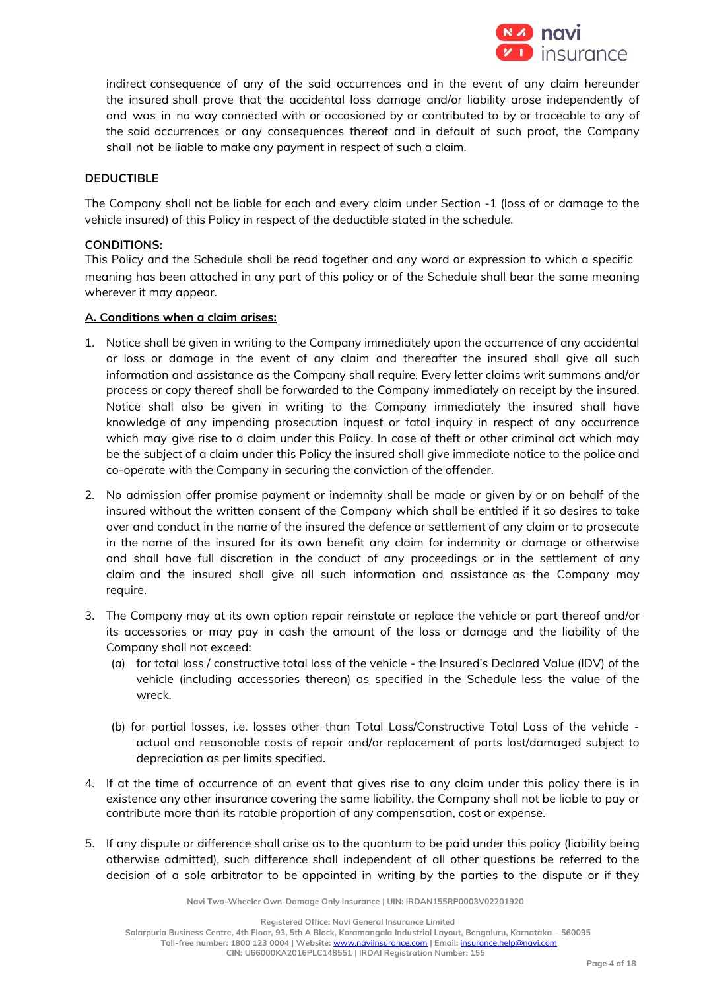

indirect consequence of any of the said occurrences and in the event of any claim hereunder the insured shall prove that the accidental loss damage and/or liability arose independently of and was in no way connected with or occasioned by or contributed to by or traceable to any of the said occurrences or any consequences thereof and in default of such proof, the Company shall not be liable to make any payment in respect of such a claim.

# **DEDUCTIBLE**

The Company shall not be liable for each and every claim under Section -1 (loss of or damage to the vehicle insured) of this Policy in respect of the deductible stated in the schedule.

# **CONDITIONS:**

This Policy and the Schedule shall be read together and any word or expression to which a specific meaning has been attached in any part of this policy or of the Schedule shall bear the same meaning wherever it may appear.

# **A. Conditions when a claim arises:**

- 1. Notice shall be given in writing to the Company immediately upon the occurrence of any accidental or loss or damage in the event of any claim and thereafter the insured shall give all such information and assistance as the Company shall require. Every letter claims writ summons and/or process or copy thereof shall be forwarded to the Company immediately on receipt by the insured. Notice shall also be given in writing to the Company immediately the insured shall have knowledge of any impending prosecution inquest or fatal inquiry in respect of any occurrence which may give rise to a claim under this Policy. In case of theft or other criminal act which may be the subject of a claim under this Policy the insured shall give immediate notice to the police and co-operate with the Company in securing the conviction of the offender.
- 2. No admission offer promise payment or indemnity shall be made or given by or on behalf of the insured without the written consent of the Company which shall be entitled if it so desires to take over and conduct in the name of the insured the defence or settlement of any claim or to prosecute in the name of the insured for its own benefit any claim for indemnity or damage or otherwise and shall have full discretion in the conduct of any proceedings or in the settlement of any claim and the insured shall give all such information and assistance as the Company may require.
- 3. The Company may at its own option repair reinstate or replace the vehicle or part thereof and/or its accessories or may pay in cash the amount of the loss or damage and the liability of the Company shall not exceed:
	- (a) for total loss / constructive total loss of the vehicle the Insured's Declared Value (IDV) of the vehicle (including accessories thereon) as specified in the Schedule less the value of the wreck.
	- (b) for partial losses, i.e. losses other than Total Loss/Constructive Total Loss of the vehicle actual and reasonable costs of repair and/or replacement of parts lost/damaged subject to depreciation as per limits specified.
- 4. If at the time of occurrence of an event that gives rise to any claim under this policy there is in existence any other insurance covering the same liability, the Company shall not be liable to pay or contribute more than its ratable proportion of any compensation, cost or expense.
- 5. If any dispute or difference shall arise as to the quantum to be paid under this policy (liability being otherwise admitted), such difference shall independent of all other questions be referred to the decision of a sole arbitrator to be appointed in writing by the parties to the dispute or if they

**Navi Two-Wheeler Own-Damage Only Insurance | UIN: IRDAN155RP0003V02201920**

**Registered Office: Navi General Insurance Limited**

**Salarpuria Business Centre, 4th Floor, 93, 5th A Block, Koramangala Industrial Layout, Bengaluru, Karnataka – 560095 Toll-free number: 1800 123 0004 | Website:** [www.naviinsurance.com](http://www.naviinsurance.com/) **| Email:** [insurance.help@navi.com](mailto:insurance.help@navi.com)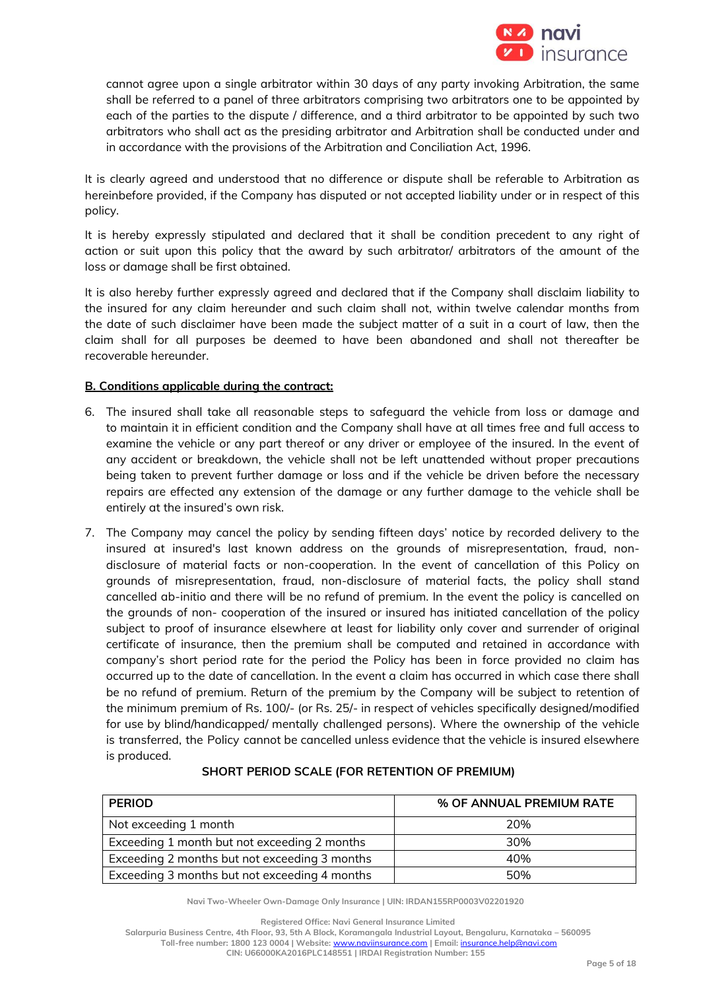

cannot agree upon a single arbitrator within 30 days of any party invoking Arbitration, the same shall be referred to a panel of three arbitrators comprising two arbitrators one to be appointed by each of the parties to the dispute / difference, and a third arbitrator to be appointed by such two arbitrators who shall act as the presiding arbitrator and Arbitration shall be conducted under and in accordance with the provisions of the Arbitration and Conciliation Act, 1996.

It is clearly agreed and understood that no difference or dispute shall be referable to Arbitration as hereinbefore provided, if the Company has disputed or not accepted liability under or in respect of this policy.

It is hereby expressly stipulated and declared that it shall be condition precedent to any right of action or suit upon this policy that the award by such arbitrator/ arbitrators of the amount of the loss or damage shall be first obtained.

It is also hereby further expressly agreed and declared that if the Company shall disclaim liability to the insured for any claim hereunder and such claim shall not, within twelve calendar months from the date of such disclaimer have been made the subject matter of a suit in a court of law, then the claim shall for all purposes be deemed to have been abandoned and shall not thereafter be recoverable hereunder.

# **B. Conditions applicable during the contract:**

- 6. The insured shall take all reasonable steps to safeguard the vehicle from loss or damage and to maintain it in efficient condition and the Company shall have at all times free and full access to examine the vehicle or any part thereof or any driver or employee of the insured. In the event of any accident or breakdown, the vehicle shall not be left unattended without proper precautions being taken to prevent further damage or loss and if the vehicle be driven before the necessary repairs are effected any extension of the damage or any further damage to the vehicle shall be entirely at the insured's own risk.
- 7. The Company may cancel the policy by sending fifteen days' notice by recorded delivery to the insured at insured's last known address on the grounds of misrepresentation, fraud, nondisclosure of material facts or non-cooperation. In the event of cancellation of this Policy on grounds of misrepresentation, fraud, non-disclosure of material facts, the policy shall stand cancelled ab-initio and there will be no refund of premium. In the event the policy is cancelled on the grounds of non- cooperation of the insured or insured has initiated cancellation of the policy subject to proof of insurance elsewhere at least for liability only cover and surrender of original certificate of insurance, then the premium shall be computed and retained in accordance with company's short period rate for the period the Policy has been in force provided no claim has occurred up to the date of cancellation. In the event a claim has occurred in which case there shall be no refund of premium. Return of the premium by the Company will be subject to retention of the minimum premium of Rs. 100/- (or Rs. 25/- in respect of vehicles specifically designed/modified for use by blind/handicapped/ mentally challenged persons). Where the ownership of the vehicle is transferred, the Policy cannot be cancelled unless evidence that the vehicle is insured elsewhere is produced.

| <b>PERIOD</b>                                 | % OF ANNUAL PREMIUM RATE |
|-----------------------------------------------|--------------------------|
| Not exceeding 1 month                         | 20%                      |
| Exceeding 1 month but not exceeding 2 months  | 30%                      |
| Exceeding 2 months but not exceeding 3 months | 40%                      |
| Exceeding 3 months but not exceeding 4 months | 50%                      |

#### **SHORT PERIOD SCALE (FOR RETENTION OF PREMIUM)**

**Navi Two-Wheeler Own-Damage Only Insurance | UIN: IRDAN155RP0003V02201920**

**Registered Office: Navi General Insurance Limited**

**Salarpuria Business Centre, 4th Floor, 93, 5th A Block, Koramangala Industrial Layout, Bengaluru, Karnataka – 560095**

**Toll-free number: 1800 123 0004 | Website:** [www.naviinsurance.com](http://www.naviinsurance.com/) **| Email:** [insurance.help@navi.com](mailto:insurance.help@navi.com)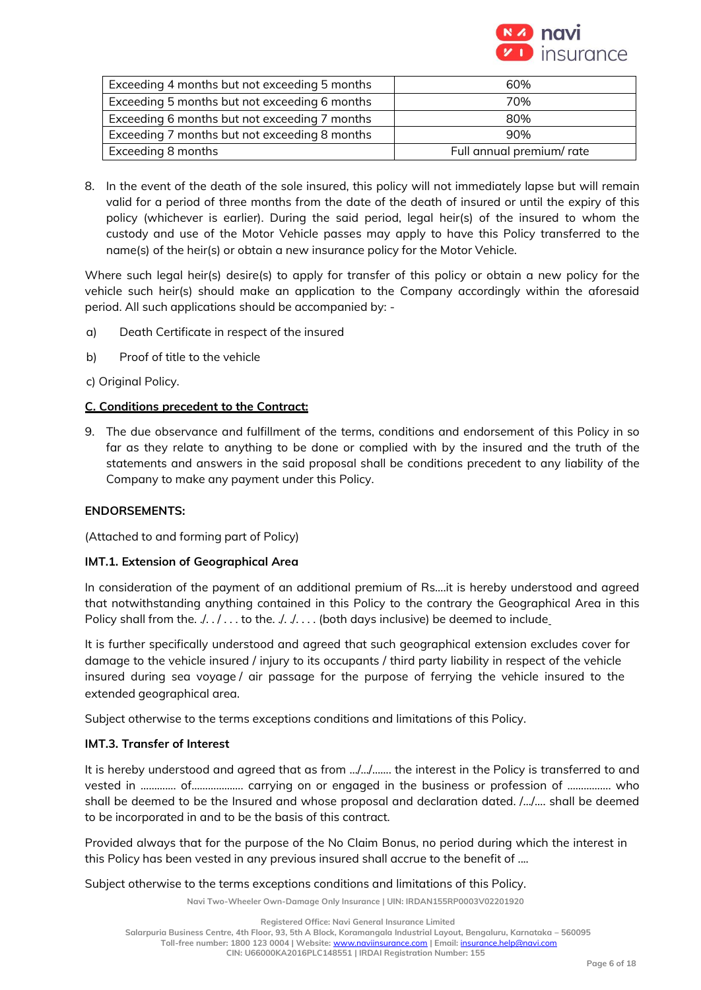

| Exceeding 4 months but not exceeding 5 months | 60%                       |
|-----------------------------------------------|---------------------------|
| Exceeding 5 months but not exceeding 6 months | 70%                       |
| Exceeding 6 months but not exceeding 7 months | 80%                       |
| Exceeding 7 months but not exceeding 8 months | 90%                       |
| Exceeding 8 months                            | Full annual premium/ rate |

8. In the event of the death of the sole insured, this policy will not immediately lapse but will remain valid for a period of three months from the date of the death of insured or until the expiry of this policy (whichever is earlier). During the said period, legal heir(s) of the insured to whom the custody and use of the Motor Vehicle passes may apply to have this Policy transferred to the name(s) of the heir(s) or obtain a new insurance policy for the Motor Vehicle.

Where such legal heir(s) desire(s) to apply for transfer of this policy or obtain a new policy for the vehicle such heir(s) should make an application to the Company accordingly within the aforesaid period. All such applications should be accompanied by: -

- a) Death Certificate in respect of the insured
- b) Proof of title to the vehicle
- c) Original Policy.

# **C. Conditions precedent to the Contract:**

9. The due observance and fulfillment of the terms, conditions and endorsement of this Policy in so far as they relate to anything to be done or complied with by the insured and the truth of the statements and answers in the said proposal shall be conditions precedent to any liability of the Company to make any payment under this Policy.

# **ENDORSEMENTS:**

(Attached to and forming part of Policy)

# **IMT.1. Extension of Geographical Area**

In consideration of the payment of an additional premium of Rs….it is hereby understood and agreed that notwithstanding anything contained in this Policy to the contrary the Geographical Area in this Policy shall from the.  $\ldots$  ... to the.  $\ldots$  ... (both days inclusive) be deemed to include

It is further specifically understood and agreed that such geographical extension excludes cover for damage to the vehicle insured / injury to its occupants / third party liability in respect of the vehicle insured during sea voyage / air passage for the purpose of ferrying the vehicle insured to the extended geographical area.

Subject otherwise to the terms exceptions conditions and limitations of this Policy.

# **IMT.3. Transfer of Interest**

It is hereby understood and agreed that as from …/…/……. the interest in the Policy is transferred to and vested in ……….... of………………. carrying on or engaged in the business or profession of ……………. who shall be deemed to be the Insured and whose proposal and declaration dated. /…/…. shall be deemed to be incorporated in and to be the basis of this contract.

Provided always that for the purpose of the No Claim Bonus, no period during which the interest in this Policy has been vested in any previous insured shall accrue to the benefit of ....

#### Subject otherwise to the terms exceptions conditions and limitations of this Policy.

**Navi Two-Wheeler Own-Damage Only Insurance | UIN: IRDAN155RP0003V02201920**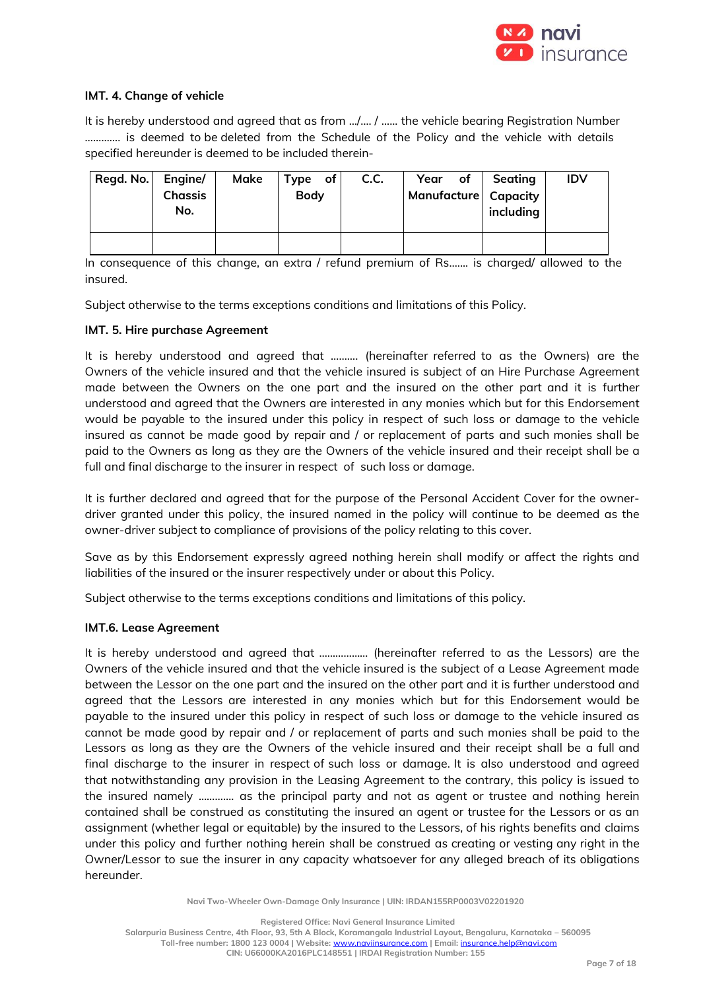

# **IMT. 4. Change of vehicle**

It is hereby understood and agreed that as from …/…. / …... the vehicle bearing Registration Number …………. is deemed to be deleted from the Schedule of the Policy and the vehicle with details specified hereunder is deemed to be included therein-

| Regd. No. | Engine/<br><b>Chassis</b><br>No. | Make | Type of<br><b>Body</b> | C.C. | Year of  <br>Manufacture   Capacity | Seating<br>including | <b>IDV</b> |
|-----------|----------------------------------|------|------------------------|------|-------------------------------------|----------------------|------------|
|           |                                  |      |                        |      |                                     |                      |            |

In consequence of this change, an extra / refund premium of Rs....... is charged/ allowed to the insured.

Subject otherwise to the terms exceptions conditions and limitations of this Policy.

#### **IMT. 5. Hire purchase Agreement**

It is hereby understood and agreed that ………. (hereinafter referred to as the Owners) are the Owners of the vehicle insured and that the vehicle insured is subject of an Hire Purchase Agreement made between the Owners on the one part and the insured on the other part and it is further understood and agreed that the Owners are interested in any monies which but for this Endorsement would be payable to the insured under this policy in respect of such loss or damage to the vehicle insured as cannot be made good by repair and / or replacement of parts and such monies shall be paid to the Owners as long as they are the Owners of the vehicle insured and their receipt shall be a full and final discharge to the insurer in respect of such loss or damage.

It is further declared and agreed that for the purpose of the Personal Accident Cover for the ownerdriver granted under this policy, the insured named in the policy will continue to be deemed as the owner-driver subject to compliance of provisions of the policy relating to this cover.

Save as by this Endorsement expressly agreed nothing herein shall modify or affect the rights and liabilities of the insured or the insurer respectively under or about this Policy.

Subject otherwise to the terms exceptions conditions and limitations of this policy.

#### **IMT.6. Lease Agreement**

It is hereby understood and agreed that ……………… (hereinafter referred to as the Lessors) are the Owners of the vehicle insured and that the vehicle insured is the subject of a Lease Agreement made between the Lessor on the one part and the insured on the other part and it is further understood and agreed that the Lessors are interested in any monies which but for this Endorsement would be payable to the insured under this policy in respect of such loss or damage to the vehicle insured as cannot be made good by repair and / or replacement of parts and such monies shall be paid to the Lessors as long as they are the Owners of the vehicle insured and their receipt shall be a full and final discharge to the insurer in respect of such loss or damage. It is also understood and agreed that notwithstanding any provision in the Leasing Agreement to the contrary, this policy is issued to the insured namely …………. as the principal party and not as agent or trustee and nothing herein contained shall be construed as constituting the insured an agent or trustee for the Lessors or as an assignment (whether legal or equitable) by the insured to the Lessors, of his rights benefits and claims under this policy and further nothing herein shall be construed as creating or vesting any right in the Owner/Lessor to sue the insurer in any capacity whatsoever for any alleged breach of its obligations hereunder.

**Navi Two-Wheeler Own-Damage Only Insurance | UIN: IRDAN155RP0003V02201920**

**Registered Office: Navi General Insurance Limited**

**Salarpuria Business Centre, 4th Floor, 93, 5th A Block, Koramangala Industrial Layout, Bengaluru, Karnataka – 560095 Toll-free number: 1800 123 0004 | Website:** [www.naviinsurance.com](http://www.naviinsurance.com/) **| Email:** [insurance.help@navi.com](mailto:insurance.help@navi.com) **CIN: U66000KA2016PLC148551 | IRDAI Registration Number: 155**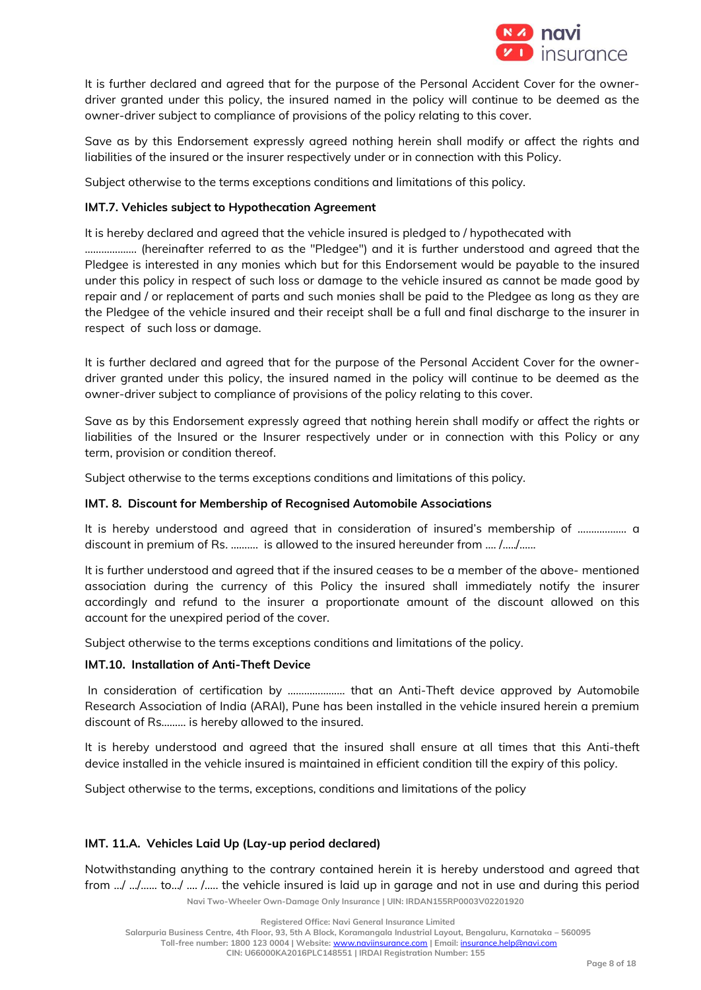

It is further declared and agreed that for the purpose of the Personal Accident Cover for the ownerdriver granted under this policy, the insured named in the policy will continue to be deemed as the owner-driver subject to compliance of provisions of the policy relating to this cover.

Save as by this Endorsement expressly agreed nothing herein shall modify or affect the rights and liabilities of the insured or the insurer respectively under or in connection with this Policy.

Subject otherwise to the terms exceptions conditions and limitations of this policy.

### **IMT.7. Vehicles subject to Hypothecation Agreement**

It is hereby declared and agreed that the vehicle insured is pledged to / hypothecated with

………………. (hereinafter referred to as the "Pledgee") and it is further understood and agreed that the Pledgee is interested in any monies which but for this Endorsement would be payable to the insured under this policy in respect of such loss or damage to the vehicle insured as cannot be made good by repair and / or replacement of parts and such monies shall be paid to the Pledgee as long as they are the Pledgee of the vehicle insured and their receipt shall be a full and final discharge to the insurer in respect of such loss or damage.

It is further declared and agreed that for the purpose of the Personal Accident Cover for the ownerdriver granted under this policy, the insured named in the policy will continue to be deemed as the owner-driver subject to compliance of provisions of the policy relating to this cover.

Save as by this Endorsement expressly agreed that nothing herein shall modify or affect the rights or liabilities of the Insured or the Insurer respectively under or in connection with this Policy or any term, provision or condition thereof.

Subject otherwise to the terms exceptions conditions and limitations of this policy.

# **IMT. 8. Discount for Membership of Recognised Automobile Associations**

It is hereby understood and agreed that in consideration of insured's membership of ……………… a discount in premium of Rs. ………. is allowed to the insured hereunder from …. /…../…...

It is further understood and agreed that if the insured ceases to be a member of the above- mentioned association during the currency of this Policy the insured shall immediately notify the insurer accordingly and refund to the insurer a proportionate amount of the discount allowed on this account for the unexpired period of the cover.

Subject otherwise to the terms exceptions conditions and limitations of the policy.

#### **IMT.10. Installation of Anti-Theft Device**

In consideration of certification by ...................... that an Anti-Theft device approved by Automobile Research Association of India (ARAI), Pune has been installed in the vehicle insured herein a premium discount of Rs……… is hereby allowed to the insured.

It is hereby understood and agreed that the insured shall ensure at all times that this Anti-theft device installed in the vehicle insured is maintained in efficient condition till the expiry of this policy.

Subject otherwise to the terms, exceptions, conditions and limitations of the policy

# **IMT. 11.A. Vehicles Laid Up (Lay-up period declared)**

**Navi Two-Wheeler Own-Damage Only Insurance | UIN: IRDAN155RP0003V02201920** Notwithstanding anything to the contrary contained herein it is hereby understood and agreed that from …/ …/…... to…/ …. /….. the vehicle insured is laid up in garage and not in use and during this period

**Registered Office: Navi General Insurance Limited**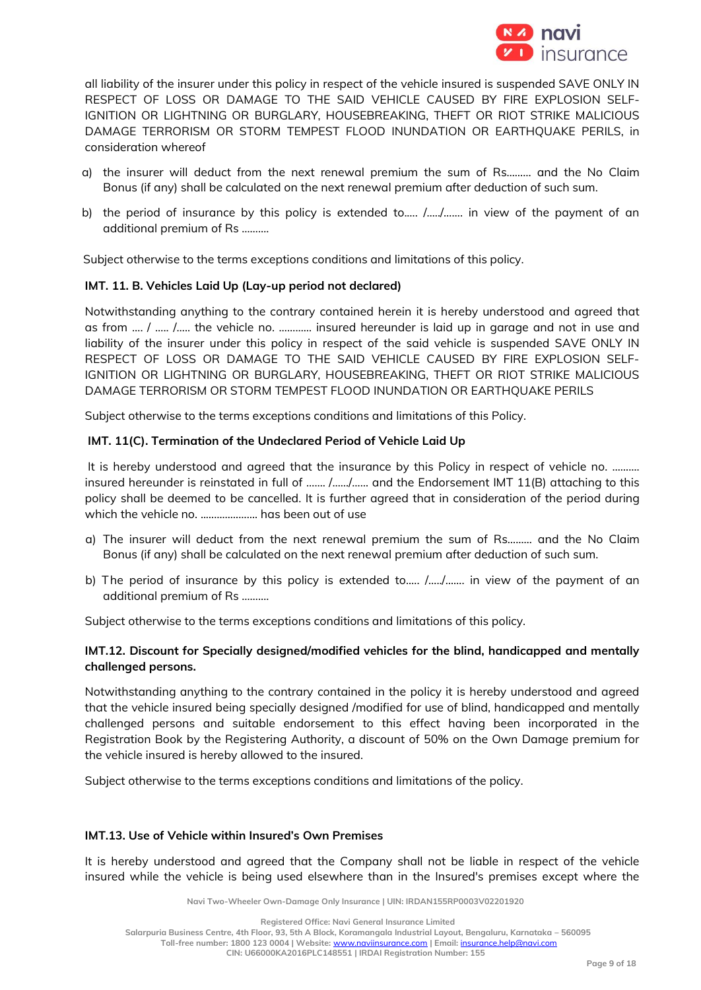

all liability of the insurer under this policy in respect of the vehicle insured is suspended SAVE ONLY IN RESPECT OF LOSS OR DAMAGE TO THE SAID VEHICLE CAUSED BY FIRE EXPLOSION SELF-IGNITION OR LIGHTNING OR BURGLARY, HOUSEBREAKING, THEFT OR RIOT STRIKE MALICIOUS DAMAGE TERRORISM OR STORM TEMPEST FLOOD INUNDATION OR EARTHQUAKE PERILS, in consideration whereof

- a) the insurer will deduct from the next renewal premium the sum of Rs……… and the No Claim Bonus (if any) shall be calculated on the next renewal premium after deduction of such sum.
- b) the period of insurance by this policy is extended to.…. /…../……. in view of the payment of an additional premium of Rs ……….

Subject otherwise to the terms exceptions conditions and limitations of this policy.

# **IMT. 11. B. Vehicles Laid Up (Lay-up period not declared)**

Notwithstanding anything to the contrary contained herein it is hereby understood and agreed that as from …. / ….. /….. the vehicle no. ………… insured hereunder is laid up in garage and not in use and liability of the insurer under this policy in respect of the said vehicle is suspended SAVE ONLY IN RESPECT OF LOSS OR DAMAGE TO THE SAID VEHICLE CAUSED BY FIRE EXPLOSION SELF-IGNITION OR LIGHTNING OR BURGLARY, HOUSEBREAKING, THEFT OR RIOT STRIKE MALICIOUS DAMAGE TERRORISM OR STORM TEMPEST FLOOD INUNDATION OR EARTHQUAKE PERILS

Subject otherwise to the terms exceptions conditions and limitations of this Policy.

### **IMT. 11(C). Termination of the Undeclared Period of Vehicle Laid Up**

It is hereby understood and agreed that the insurance by this Policy in respect of vehicle no. .......... insured hereunder is reinstated in full of ……. /……/…… and the Endorsement IMT 11(B) attaching to this policy shall be deemed to be cancelled. It is further agreed that in consideration of the period during which the vehicle no. ........................ has been out of use

- a) The insurer will deduct from the next renewal premium the sum of Rs……… and the No Claim Bonus (if any) shall be calculated on the next renewal premium after deduction of such sum.
- b) The period of insurance by this policy is extended to..... /...../....... in view of the payment of an additional premium of Rs ……….

Subject otherwise to the terms exceptions conditions and limitations of this policy.

# **IMT.12. Discount for Specially designed/modified vehicles for the blind, handicapped and mentally challenged persons.**

Notwithstanding anything to the contrary contained in the policy it is hereby understood and agreed that the vehicle insured being specially designed /modified for use of blind, handicapped and mentally challenged persons and suitable endorsement to this effect having been incorporated in the Registration Book by the Registering Authority, a discount of 50% on the Own Damage premium for the vehicle insured is hereby allowed to the insured.

Subject otherwise to the terms exceptions conditions and limitations of the policy.

#### **IMT.13. Use of Vehicle within Insured's Own Premises**

It is hereby understood and agreed that the Company shall not be liable in respect of the vehicle insured while the vehicle is being used elsewhere than in the Insured's premises except where the

**Navi Two-Wheeler Own-Damage Only Insurance | UIN: IRDAN155RP0003V02201920**

**Registered Office: Navi General Insurance Limited**

**Salarpuria Business Centre, 4th Floor, 93, 5th A Block, Koramangala Industrial Layout, Bengaluru, Karnataka – 560095**

**Toll-free number: 1800 123 0004 | Website:** [www.naviinsurance.com](http://www.naviinsurance.com/) **| Email:** [insurance.help@navi.com](mailto:insurance.help@navi.com)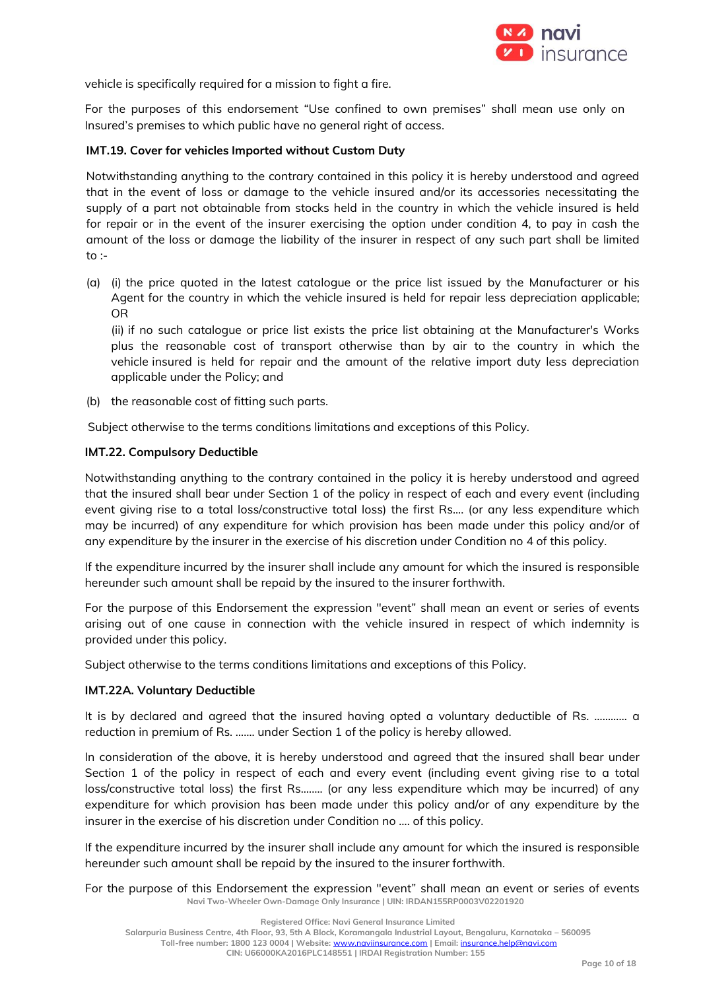

vehicle is specifically required for a mission to fight a fire.

For the purposes of this endorsement "Use confined to own premises" shall mean use only on Insured's premises to which public have no general right of access.

### **IMT.19. Cover for vehicles Imported without Custom Duty**

Notwithstanding anything to the contrary contained in this policy it is hereby understood and agreed that in the event of loss or damage to the vehicle insured and/or its accessories necessitating the supply of a part not obtainable from stocks held in the country in which the vehicle insured is held for repair or in the event of the insurer exercising the option under condition 4, to pay in cash the amount of the loss or damage the liability of the insurer in respect of any such part shall be limited to :-

(a) (i) the price quoted in the latest catalogue or the price list issued by the Manufacturer or his Agent for the country in which the vehicle insured is held for repair less depreciation applicable; OR

(ii) if no such catalogue or price list exists the price list obtaining at the Manufacturer's Works plus the reasonable cost of transport otherwise than by air to the country in which the vehicle insured is held for repair and the amount of the relative import duty less depreciation applicable under the Policy; and

(b) the reasonable cost of fitting such parts.

Subject otherwise to the terms conditions limitations and exceptions of this Policy.

### **IMT.22. Compulsory Deductible**

Notwithstanding anything to the contrary contained in the policy it is hereby understood and agreed that the insured shall bear under Section 1 of the policy in respect of each and every event (including event giving rise to a total loss/constructive total loss) the first Rs.... (or any less expenditure which may be incurred) of any expenditure for which provision has been made under this policy and/or of any expenditure by the insurer in the exercise of his discretion under Condition no 4 of this policy.

If the expenditure incurred by the insurer shall include any amount for which the insured is responsible hereunder such amount shall be repaid by the insured to the insurer forthwith.

For the purpose of this Endorsement the expression "event" shall mean an event or series of events arising out of one cause in connection with the vehicle insured in respect of which indemnity is provided under this policy.

Subject otherwise to the terms conditions limitations and exceptions of this Policy.

#### **IMT.22A. Voluntary Deductible**

It is by declared and agreed that the insured having opted a voluntary deductible of Rs. ………… a reduction in premium of Rs. ……. under Section 1 of the policy is hereby allowed.

In consideration of the above, it is hereby understood and agreed that the insured shall bear under Section 1 of the policy in respect of each and every event (including event giving rise to a total loss/constructive total loss) the first Rs.……. (or any less expenditure which may be incurred) of any expenditure for which provision has been made under this policy and/or of any expenditure by the insurer in the exercise of his discretion under Condition no …. of this policy.

If the expenditure incurred by the insurer shall include any amount for which the insured is responsible hereunder such amount shall be repaid by the insured to the insurer forthwith.

**Navi Two-Wheeler Own-Damage Only Insurance | UIN: IRDAN155RP0003V02201920** For the purpose of this Endorsement the expression "event" shall mean an event or series of events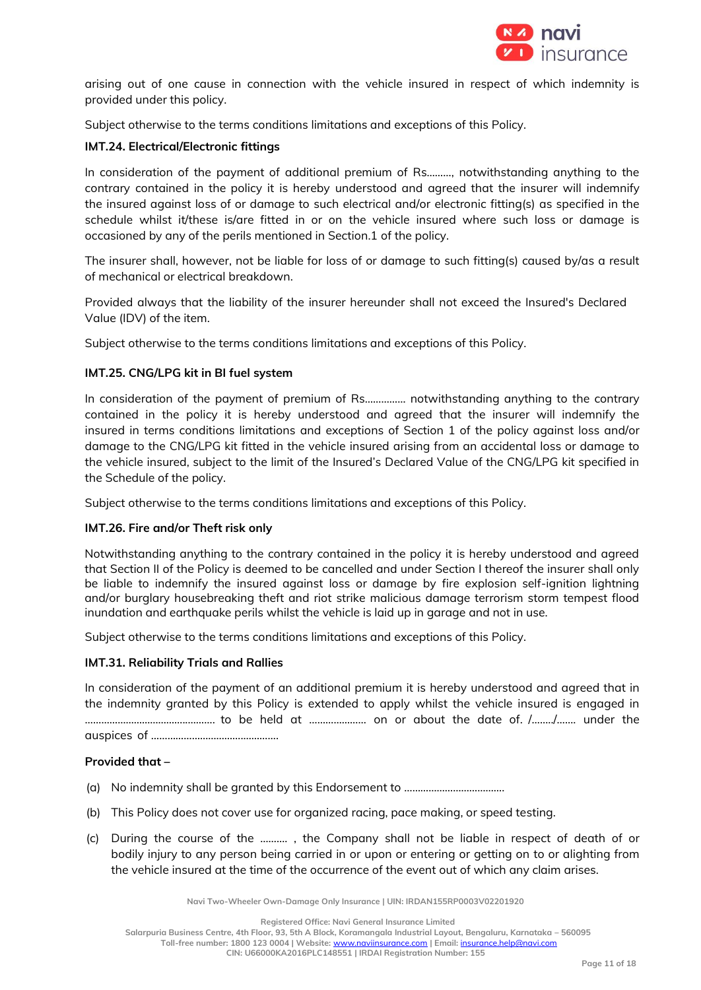

arising out of one cause in connection with the vehicle insured in respect of which indemnity is provided under this policy.

Subject otherwise to the terms conditions limitations and exceptions of this Policy.

### **IMT.24. Electrical/Electronic fittings**

In consideration of the payment of additional premium of Rs………, notwithstanding anything to the contrary contained in the policy it is hereby understood and agreed that the insurer will indemnify the insured against loss of or damage to such electrical and/or electronic fitting(s) as specified in the schedule whilst it/these is/are fitted in or on the vehicle insured where such loss or damage is occasioned by any of the perils mentioned in Section.1 of the policy.

The insurer shall, however, not be liable for loss of or damage to such fitting(s) caused by/as a result of mechanical or electrical breakdown.

Provided always that the liability of the insurer hereunder shall not exceed the Insured's Declared Value (IDV) of the item.

Subject otherwise to the terms conditions limitations and exceptions of this Policy.

# **IMT.25. CNG/LPG kit in BI fuel system**

In consideration of the payment of premium of Rs…………… notwithstanding anything to the contrary contained in the policy it is hereby understood and agreed that the insurer will indemnify the insured in terms conditions limitations and exceptions of Section 1 of the policy against loss and/or damage to the CNG/LPG kit fitted in the vehicle insured arising from an accidental loss or damage to the vehicle insured, subject to the limit of the Insured's Declared Value of the CNG/LPG kit specified in the Schedule of the policy.

Subject otherwise to the terms conditions limitations and exceptions of this Policy.

#### **IMT.26. Fire and/or Theft risk only**

Notwithstanding anything to the contrary contained in the policy it is hereby understood and agreed that Section II of the Policy is deemed to be cancelled and under Section I thereof the insurer shall only be liable to indemnify the insured against loss or damage by fire explosion self-ignition lightning and/or burglary housebreaking theft and riot strike malicious damage terrorism storm tempest flood inundation and earthquake perils whilst the vehicle is laid up in garage and not in use.

Subject otherwise to the terms conditions limitations and exceptions of this Policy.

#### **IMT.31. Reliability Trials and Rallies**

In consideration of the payment of an additional premium it is hereby understood and agreed that in the indemnity granted by this Policy is extended to apply whilst the vehicle insured is engaged in ………………………………..………. to be held at ………………… on or about the date of. /……../……. under the auspices of …………………………….………….

#### **Provided that –**

- (a) No indemnity shall be granted by this Endorsement to ……………………………….
- (b) This Policy does not cover use for organized racing, pace making, or speed testing.
- (c) During the course of the ………. , the Company shall not be liable in respect of death of or bodily injury to any person being carried in or upon or entering or getting on to or alighting from the vehicle insured at the time of the occurrence of the event out of which any claim arises.

**Navi Two-Wheeler Own-Damage Only Insurance | UIN: IRDAN155RP0003V02201920**

**Registered Office: Navi General Insurance Limited**

**Salarpuria Business Centre, 4th Floor, 93, 5th A Block, Koramangala Industrial Layout, Bengaluru, Karnataka – 560095**

**Toll-free number: 1800 123 0004 | Website:** [www.naviinsurance.com](http://www.naviinsurance.com/) **| Email:** [insurance.help@navi.com](mailto:insurance.help@navi.com)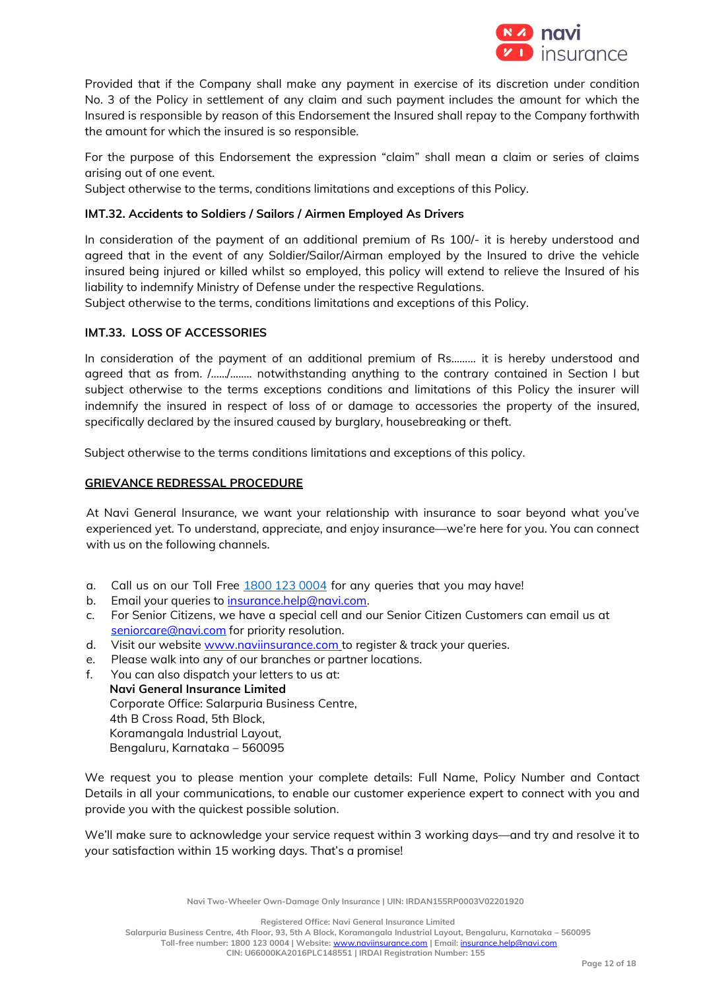

Provided that if the Company shall make any payment in exercise of its discretion under condition No. 3 of the Policy in settlement of any claim and such payment includes the amount for which the Insured is responsible by reason of this Endorsement the Insured shall repay to the Company forthwith the amount for which the insured is so responsible.

For the purpose of this Endorsement the expression "claim" shall mean a claim or series of claims arising out of one event.

Subject otherwise to the terms, conditions limitations and exceptions of this Policy.

### **IMT.32. Accidents to Soldiers / Sailors / Airmen Employed As Drivers**

In consideration of the payment of an additional premium of Rs 100/- it is hereby understood and agreed that in the event of any Soldier/Sailor/Airman employed by the Insured to drive the vehicle insured being injured or killed whilst so employed, this policy will extend to relieve the Insured of his liability to indemnify Ministry of Defense under the respective Regulations.

Subject otherwise to the terms, conditions limitations and exceptions of this Policy.

### **IMT.33. LOSS OF ACCESSORIES**

In consideration of the payment of an additional premium of Rs...…… it is hereby understood and agreed that as from. /….../…..... notwithstanding anything to the contrary contained in Section I but subject otherwise to the terms exceptions conditions and limitations of this Policy the insurer will indemnify the insured in respect of loss of or damage to accessories the property of the insured, specifically declared by the insured caused by burglary, housebreaking or theft.

Subject otherwise to the terms conditions limitations and exceptions of this policy.

### **GRIEVANCE REDRESSAL PROCEDURE**

At Navi General Insurance, we want your relationship with insurance to soar beyond what you've experienced yet. To understand, appreciate, and enjoy insurance—we're here for you. You can connect with us on the following channels.

- a. Call us on our Toll Free 1800 123 0004 for any queries that you may have!
- b. Email your queries to [insurance.help@navi.com.](mailto:insurance.help@navi.com)
- c. For Senior Citizens, we have a special cell and our Senior Citizen Customers can email us at [seniorcare@navi.com](mailto:seniorcare@navi.com) for priority resolution.
- d. Visit our website www.naviinsurance.com to register & track your queries.
- e. Please walk into any of our branches or partner locations.
- f. You can also dispatch your letters to us at: **Navi General Insurance Limited** Corporate Office: Salarpuria Business Centre, 4th B Cross Road, 5th Block, Koramangala Industrial Layout, Bengaluru, Karnataka – 560095

We request you to please mention your complete details: Full Name, Policy Number and Contact Details in all your communications, to enable our customer experience expert to connect with you and provide you with the quickest possible solution.

We'll make sure to acknowledge your service request within 3 working days—and try and resolve it to your satisfaction within 15 working days. That's a promise!

**Navi Two-Wheeler Own-Damage Only Insurance | UIN: IRDAN155RP0003V02201920**

**Registered Office: Navi General Insurance Limited**

**Salarpuria Business Centre, 4th Floor, 93, 5th A Block, Koramangala Industrial Layout, Bengaluru, Karnataka – 560095 Toll-free number: 1800 123 0004 | Website:** [www.naviinsurance.com](http://www.naviinsurance.com/) **| Email:** [insurance.help@navi.com](mailto:insurance.help@navi.com) **CIN: U66000KA2016PLC148551 | IRDAI Registration Number: 155**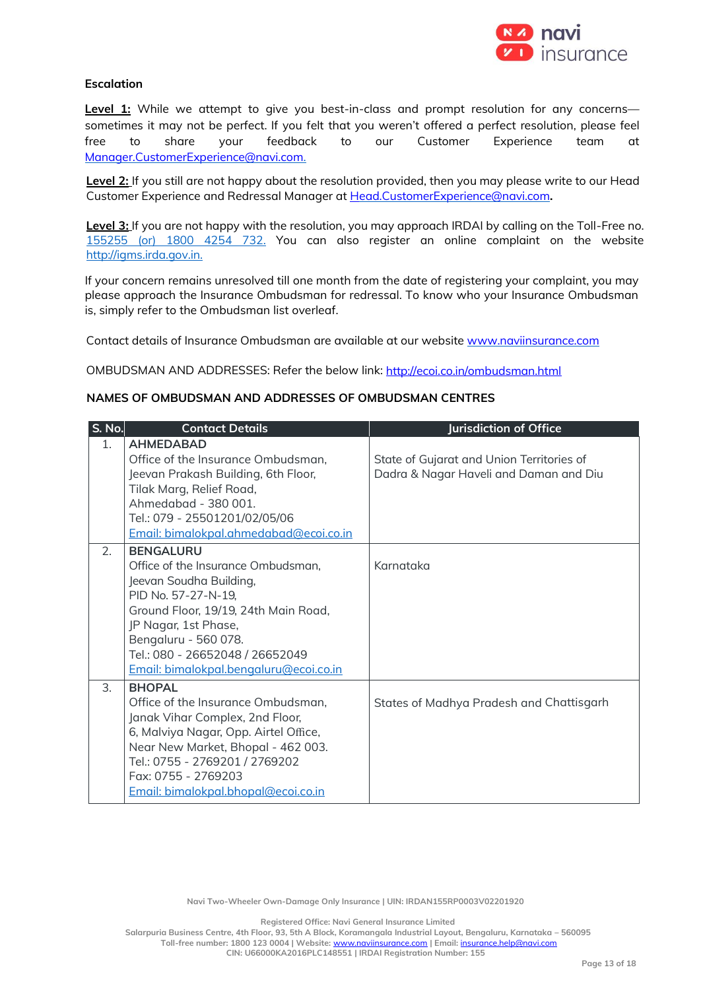

# **Escalation**

**Level 1:** While we attempt to give you best-in-class and prompt resolution for any concerns sometimes it may not be perfect. If you felt that you weren't offered a perfect resolution, please feel free to share your feedback to our Customer Experience team at [Manager.CustomerExperience@navi.com.](mailto:Manager.CustomerExperience@navi.com)

Level 2: If you still are not happy about the resolution provided, then you may please write to our Head Customer Experience and Redressal Manager at [Head.CustomerExperience@navi.com](mailto:Head.CustomerExperience@navi.com)**.**

**Level 3:** If you are not happy with the resolution, you may approach IRDAI by calling on the Toll-Free no. 155255 (or) 1800 4254 732. You can also register an online complaint on the website [http://igms.irda.gov.in.](http://igms.irda.gov.in/)

If your concern remains unresolved till one month from the date of registering your complaint, you may please approach the Insurance Ombudsman for redressal. To know who your Insurance Ombudsman is, simply refer to the Ombudsman list overleaf.

Contact details of Insurance Ombudsman are available at our website [www.naviinsurance.com](http://www.naviinsurance.com/)

OMBUDSMAN AND ADDRESSES: Refer the below link:<http://ecoi.co.in/ombudsman.html>

### **NAMES OF OMBUDSMAN AND ADDRESSES OF OMBUDSMAN CENTRES**

| S. No. | <b>Contact Details</b>                                                                                                                                                                                                                                                        | Jurisdiction of Office                                                              |
|--------|-------------------------------------------------------------------------------------------------------------------------------------------------------------------------------------------------------------------------------------------------------------------------------|-------------------------------------------------------------------------------------|
| 1.     | <b>AHMEDABAD</b><br>Office of the Insurance Ombudsman,<br>Jeevan Prakash Building, 6th Floor,<br>Tilak Marg, Relief Road,<br>Ahmedabad - 380 001.<br>Tel.: 079 - 25501201/02/05/06<br>Email: bimalokpal.ahmedabad@ecoi.co.in                                                  | State of Gujarat and Union Territories of<br>Dadra & Nagar Haveli and Daman and Diu |
| 2.     | <b>BENGALURU</b><br>Office of the Insurance Ombudsman,<br>Jeevan Soudha Building,<br>PID No. 57-27-N-19,<br>Ground Floor, 19/19, 24th Main Road,<br>JP Nagar, 1st Phase,<br>Bengaluru - 560 078.<br>Tel.: 080 - 26652048 / 26652049<br>Email: bimalokpal.bengaluru@ecoi.co.in | Karnataka                                                                           |
| 3.     | <b>BHOPAL</b><br>Office of the Insurance Ombudsman,<br>Janak Vihar Complex, 2nd Floor,<br>6, Malviya Nagar, Opp. Airtel Office,<br>Near New Market, Bhopal - 462 003.<br>Tel.: 0755 - 2769201 / 2769202<br>Fax: 0755 - 2769203<br>Email: bimalokpal.bhopal@ecoi.co.in         | States of Madhya Pradesh and Chattisgarh                                            |

**Navi Two-Wheeler Own-Damage Only Insurance | UIN: IRDAN155RP0003V02201920**

**Registered Office: Navi General Insurance Limited**

**Salarpuria Business Centre, 4th Floor, 93, 5th A Block, Koramangala Industrial Layout, Bengaluru, Karnataka – 560095 Toll-free number: 1800 123 0004 | Website:** [www.naviinsurance.com](http://www.naviinsurance.com/) **| Email:** [insurance.help@navi.com](mailto:insurance.help@navi.com)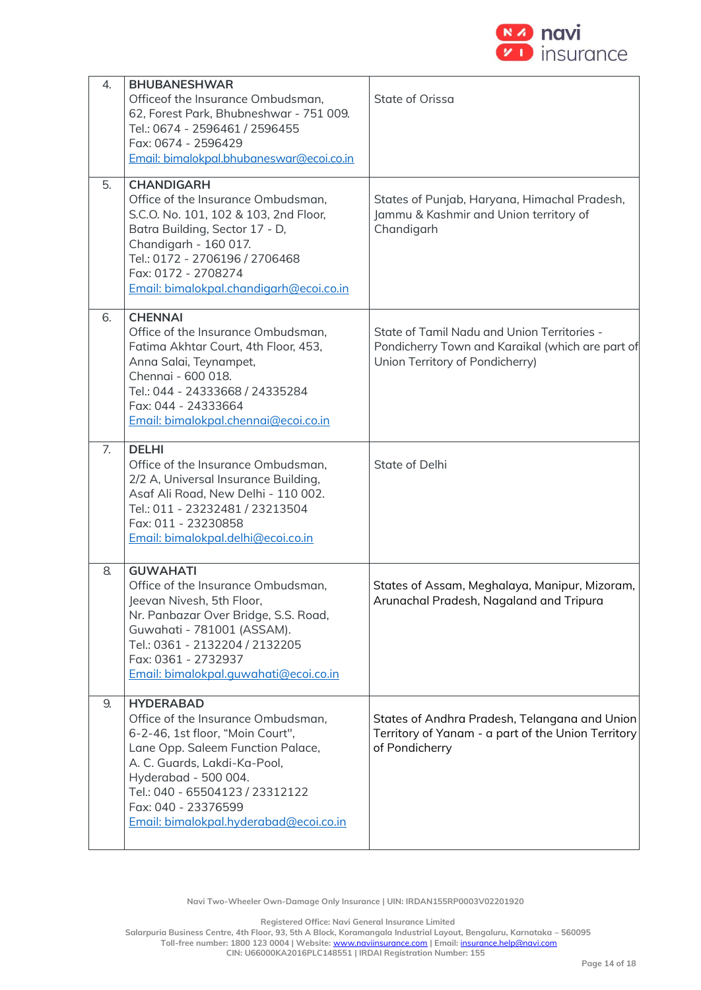

| 4. | <b>BHUBANESHWAR</b><br>Officeof the Insurance Ombudsman,<br>62, Forest Park, Bhubneshwar - 751 009.<br>Tel.: 0674 - 2596461 / 2596455<br>Fax: 0674 - 2596429<br>Email: bimalokpal.bhubaneswar@ecoi.co.in                                                                                    | State of Orissa                                                                                                                    |
|----|---------------------------------------------------------------------------------------------------------------------------------------------------------------------------------------------------------------------------------------------------------------------------------------------|------------------------------------------------------------------------------------------------------------------------------------|
| 5. | <b>CHANDIGARH</b><br>Office of the Insurance Ombudsman,<br>S.C.O. No. 101, 102 & 103, 2nd Floor,<br>Batra Building, Sector 17 - D,<br>Chandigarh - 160 017.<br>Tel.: 0172 - 2706196 / 2706468<br>Fax: 0172 - 2708274<br>Email: bimalokpal.chandigarh@ecoi.co.in                             | States of Punjab, Haryana, Himachal Pradesh,<br>Jammu & Kashmir and Union territory of<br>Chandigarh                               |
| 6. | <b>CHENNAI</b><br>Office of the Insurance Ombudsman,<br>Fatima Akhtar Court, 4th Floor, 453,<br>Anna Salai, Teynampet,<br>Chennai - 600 018.<br>Tel.: 044 - 24333668 / 24335284<br>Fax: 044 - 24333664<br>Email: bimalokpal.chennai@ecoi.co.in                                              | State of Tamil Nadu and Union Territories -<br>Pondicherry Town and Karaikal (which are part of<br>Union Territory of Pondicherry) |
| 7. | <b>DELHI</b><br>Office of the Insurance Ombudsman,<br>2/2 A, Universal Insurance Building,<br>Asaf Ali Road, New Delhi - 110 002.<br>Tel.: 011 - 23232481 / 23213504<br>Fax: 011 - 23230858<br>Email: bimalokpal.delhi@ecoi.co.in                                                           | State of Delhi                                                                                                                     |
| 8. | <b>GUWAHATI</b><br>Office of the Insurance Ombudsman,<br>Jeevan Nivesh, 5th Floor,<br>Nr. Panbazar Over Bridge, S.S. Road,<br>Guwahati - 781001 (ASSAM).<br>Tel.: 0361 - 2132204 / 2132205<br>Fax: 0361 - 2732937<br>Email: bimalokpal.quwahati@ecoi.co.in                                  | States of Assam, Meghalaya, Manipur, Mizoram,<br>Arunachal Pradesh, Nagaland and Tripura                                           |
| 9. | <b>HYDERABAD</b><br>Office of the Insurance Ombudsman,<br>6-2-46, 1st floor, "Moin Court",<br>Lane Opp. Saleem Function Palace,<br>A. C. Guards, Lakdi-Ka-Pool,<br>Hyderabad - 500 004.<br>Tel.: 040 - 65504123 / 23312122<br>Fax: 040 - 23376599<br>Email: bimalokpal.hyderabad@ecoi.co.in | States of Andhra Pradesh, Telangana and Union<br>Territory of Yanam - a part of the Union Territory<br>of Pondicherry              |

**Navi Two-Wheeler Own-Damage Only Insurance | UIN: IRDAN155RP0003V02201920**

**Registered Office: Navi General Insurance Limited**

**Salarpuria Business Centre, 4th Floor, 93, 5th A Block, Koramangala Industrial Layout, Bengaluru, Karnataka – 560095 Toll-free number: 1800 123 0004 | Website:** [www.naviinsurance.com](http://www.naviinsurance.com/) **| Email:** [insurance.help@navi.com](mailto:insurance.help@navi.com)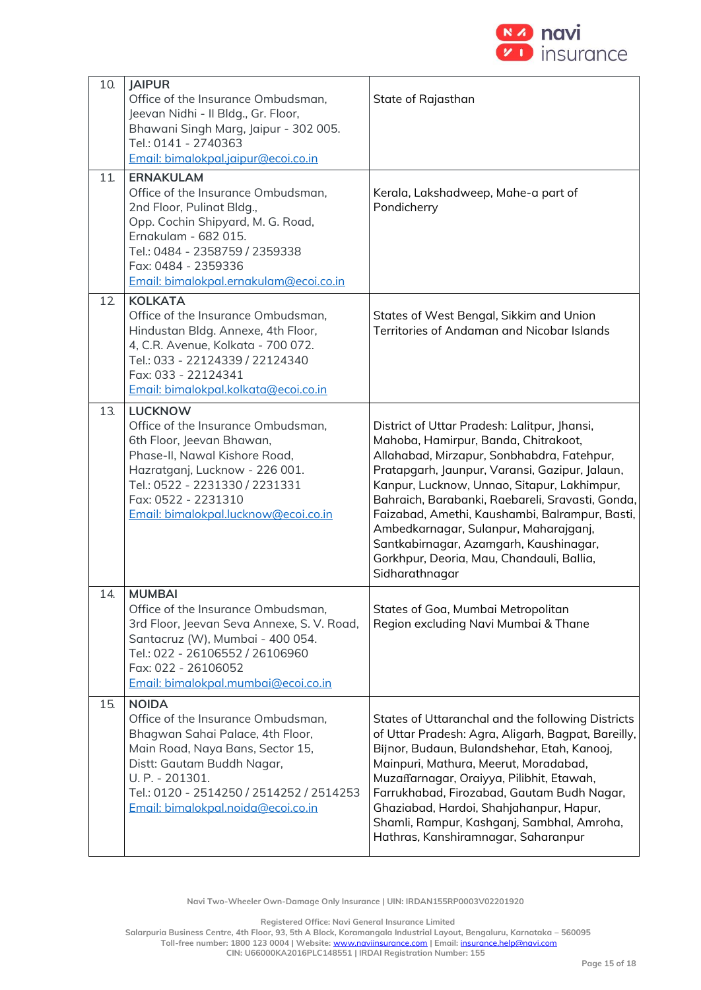

| 10. | <b>JAIPUR</b>                                                            |                                                                                       |
|-----|--------------------------------------------------------------------------|---------------------------------------------------------------------------------------|
|     | Office of the Insurance Ombudsman,                                       | State of Rajasthan                                                                    |
|     | Jeevan Nidhi - Il Bldg., Gr. Floor,                                      |                                                                                       |
|     | Bhawani Singh Marg, Jaipur - 302 005.                                    |                                                                                       |
|     | Tel.: 0141 - 2740363                                                     |                                                                                       |
|     | Email: bimalokpal.jaipur@ecoi.co.in                                      |                                                                                       |
| 11. | <b>ERNAKULAM</b>                                                         |                                                                                       |
|     | Office of the Insurance Ombudsman,                                       | Kerala, Lakshadweep, Mahe-a part of                                                   |
|     | 2nd Floor, Pulinat Bldg.,                                                | Pondicherry                                                                           |
|     | Opp. Cochin Shipyard, M. G. Road,                                        |                                                                                       |
|     | Ernakulam - 682 015.                                                     |                                                                                       |
|     | Tel.: 0484 - 2358759 / 2359338<br>Fax: 0484 - 2359336                    |                                                                                       |
|     | Email: bimalokpal.ernakulam@ecoi.co.in                                   |                                                                                       |
|     |                                                                          |                                                                                       |
| 12. | <b>KOLKATA</b>                                                           |                                                                                       |
|     | Office of the Insurance Ombudsman.<br>Hindustan Bldg. Annexe, 4th Floor, | States of West Bengal, Sikkim and Union<br>Territories of Andaman and Nicobar Islands |
|     | 4, C.R. Avenue, Kolkata - 700 072.                                       |                                                                                       |
|     | Tel.: 033 - 22124339 / 22124340                                          |                                                                                       |
|     | Fax: 033 - 22124341                                                      |                                                                                       |
|     | Email: bimalokpal.kolkata@ecoi.co.in                                     |                                                                                       |
| 13. | <b>LUCKNOW</b>                                                           |                                                                                       |
|     | Office of the Insurance Ombudsman,                                       | District of Uttar Pradesh: Lalitpur, Jhansi,                                          |
|     | 6th Floor, Jeevan Bhawan,                                                | Mahoba, Hamirpur, Banda, Chitrakoot,                                                  |
|     | Phase-II, Nawal Kishore Road,                                            | Allahabad, Mirzapur, Sonbhabdra, Fatehpur,                                            |
|     | Hazratganj, Lucknow - 226 001.                                           | Pratapgarh, Jaunpur, Varansi, Gazipur, Jalaun,                                        |
|     | Tel.: 0522 - 2231330 / 2231331                                           | Kanpur, Lucknow, Unnao, Sitapur, Lakhimpur,                                           |
|     | Fax: 0522 - 2231310                                                      | Bahraich, Barabanki, Raebareli, Sravasti, Gonda,                                      |
|     | Email: bimalokpal.lucknow@ecoi.co.in                                     | Faizabad, Amethi, Kaushambi, Balrampur, Basti,                                        |
|     |                                                                          | Ambedkarnagar, Sulanpur, Maharajganj,                                                 |
|     |                                                                          | Santkabirnagar, Azamgarh, Kaushinagar,<br>Gorkhpur, Deoria, Mau, Chandauli, Ballia,   |
|     |                                                                          | Sidharathnagar                                                                        |
|     |                                                                          |                                                                                       |
| 14. | <b>MUMBAI</b><br>Office of the Insurance Ombudsman,                      | States of Goa, Mumbai Metropolitan                                                    |
|     | 3rd Floor, Jeevan Seva Annexe, S. V. Road,                               | Region excluding Navi Mumbai & Thane                                                  |
|     | Santacruz (W), Mumbai - 400 054.                                         |                                                                                       |
|     | Tel.: 022 - 26106552 / 26106960                                          |                                                                                       |
|     | Fax: 022 - 26106052                                                      |                                                                                       |
|     | Email: bimalokpal.mumbai@ecoi.co.in                                      |                                                                                       |
| 15. | <b>NOIDA</b>                                                             |                                                                                       |
|     | Office of the Insurance Ombudsman,                                       | States of Uttaranchal and the following Districts                                     |
|     | Bhagwan Sahai Palace, 4th Floor,                                         | of Uttar Pradesh: Agra, Aligarh, Bagpat, Bareilly,                                    |
|     | Main Road, Naya Bans, Sector 15,                                         | Bijnor, Budaun, Bulandshehar, Etah, Kanooj,                                           |
|     | Distt: Gautam Buddh Nagar,                                               | Mainpuri, Mathura, Meerut, Moradabad,                                                 |
|     | U. P. - 201301.                                                          | Muzaffarnagar, Oraiyya, Pilibhit, Etawah,                                             |
|     | Tel.: 0120 - 2514250 / 2514252 / 2514253                                 | Farrukhabad, Firozabad, Gautam Budh Nagar,                                            |
|     | Email: bimalokpal.noida@ecoi.co.in                                       | Ghaziabad, Hardoi, Shahjahanpur, Hapur,                                               |
|     |                                                                          | Shamli, Rampur, Kashganj, Sambhal, Amroha,                                            |
|     |                                                                          | Hathras, Kanshiramnagar, Saharanpur                                                   |

**Navi Two-Wheeler Own-Damage Only Insurance | UIN: IRDAN155RP0003V02201920**

**Registered Office: Navi General Insurance Limited**

**Salarpuria Business Centre, 4th Floor, 93, 5th A Block, Koramangala Industrial Layout, Bengaluru, Karnataka – 560095 Toll-free number: 1800 123 0004 | Website:** [www.naviinsurance.com](http://www.naviinsurance.com/) **| Email:** [insurance.help@navi.com](mailto:insurance.help@navi.com)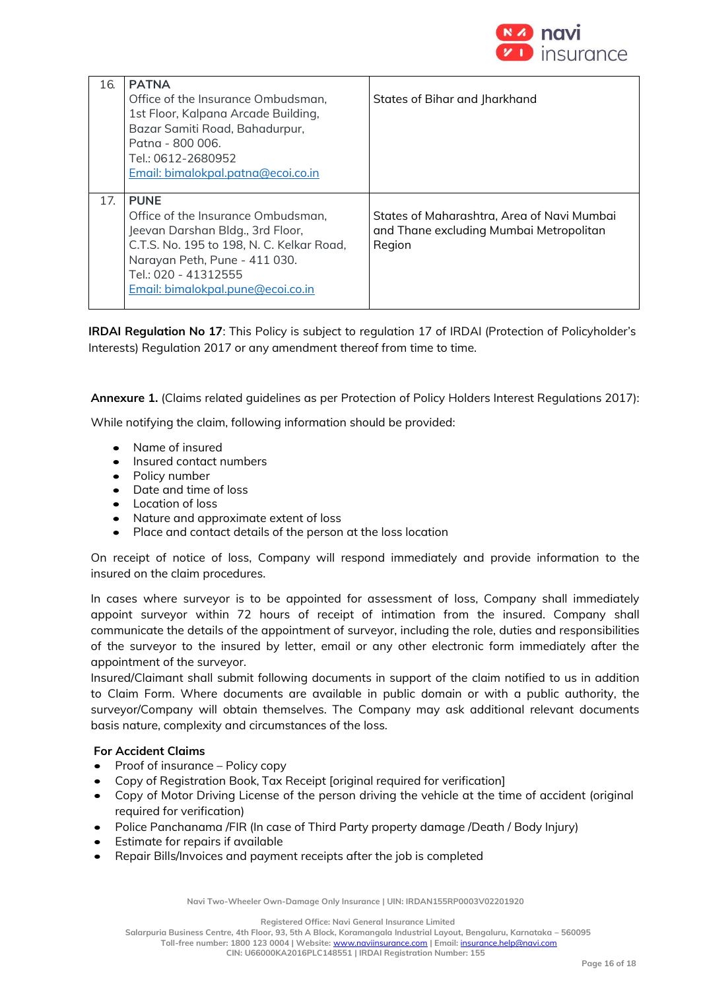

| 16. | <b>PATNA</b>                              |                                            |
|-----|-------------------------------------------|--------------------------------------------|
|     | Office of the Insurance Ombudsman,        | States of Bihar and Jharkhand              |
|     | 1st Floor, Kalpana Arcade Building,       |                                            |
|     | Bazar Samiti Road, Bahadurpur,            |                                            |
|     | Patna - 800 006.                          |                                            |
|     | Tel.: 0612-2680952                        |                                            |
|     | Email: bimalokpal.patna@ecoi.co.in        |                                            |
|     |                                           |                                            |
|     |                                           |                                            |
| 17. | <b>PUNE</b>                               |                                            |
|     | Office of the Insurance Ombudsman.        | States of Maharashtra, Area of Navi Mumbai |
|     | Jeevan Darshan Bldg., 3rd Floor,          | and Thane excluding Mumbai Metropolitan    |
|     | C.T.S. No. 195 to 198, N. C. Kelkar Road, | Region                                     |
|     | Narayan Peth, Pune - 411 030.             |                                            |
|     | Tel.: 020 - 41312555                      |                                            |
|     | Email: bimalokpal.pune@ecoi.co.in         |                                            |

**IRDAI Regulation No 17**: This Policy is subject to regulation 17 of IRDAI (Protection of Policyholder's Interests) Regulation 2017 or any amendment thereof from time to time.

**Annexure 1.** (Claims related guidelines as per Protection of Policy Holders Interest Regulations 2017):

While notifying the claim, following information should be provided:

- Name of insured
- Insured contact numbers
- Policy number
- Date and time of loss
- Location of loss
- Nature and approximate extent of loss
- Place and contact details of the person at the loss location

On receipt of notice of loss, Company will respond immediately and provide information to the insured on the claim procedures.

In cases where surveyor is to be appointed for assessment of loss, Company shall immediately appoint surveyor within 72 hours of receipt of intimation from the insured. Company shall communicate the details of the appointment of surveyor, including the role, duties and responsibilities of the surveyor to the insured by letter, email or any other electronic form immediately after the appointment of the surveyor.

Insured/Claimant shall submit following documents in support of the claim notified to us in addition to Claim Form. Where documents are available in public domain or with a public authority, the surveyor/Company will obtain themselves. The Company may ask additional relevant documents basis nature, complexity and circumstances of the loss.

### **For Accident Claims**

- Proof of insurance Policy copy
- Copy of Registration Book, Tax Receipt [original required for verification]
- Copy of Motor Driving License of the person driving the vehicle at the time of accident (original required for verification)
- Police Panchanama /FIR (In case of Third Party property damage /Death / Body Injury)
- Estimate for repairs if available
- Repair Bills/Invoices and payment receipts after the job is completed

**Navi Two-Wheeler Own-Damage Only Insurance | UIN: IRDAN155RP0003V02201920**

**Registered Office: Navi General Insurance Limited**

**Salarpuria Business Centre, 4th Floor, 93, 5th A Block, Koramangala Industrial Layout, Bengaluru, Karnataka – 560095**

**Toll-free number: 1800 123 0004 | Website:** [www.naviinsurance.com](http://www.naviinsurance.com/) **| Email:** [insurance.help@navi.com](mailto:insurance.help@navi.com)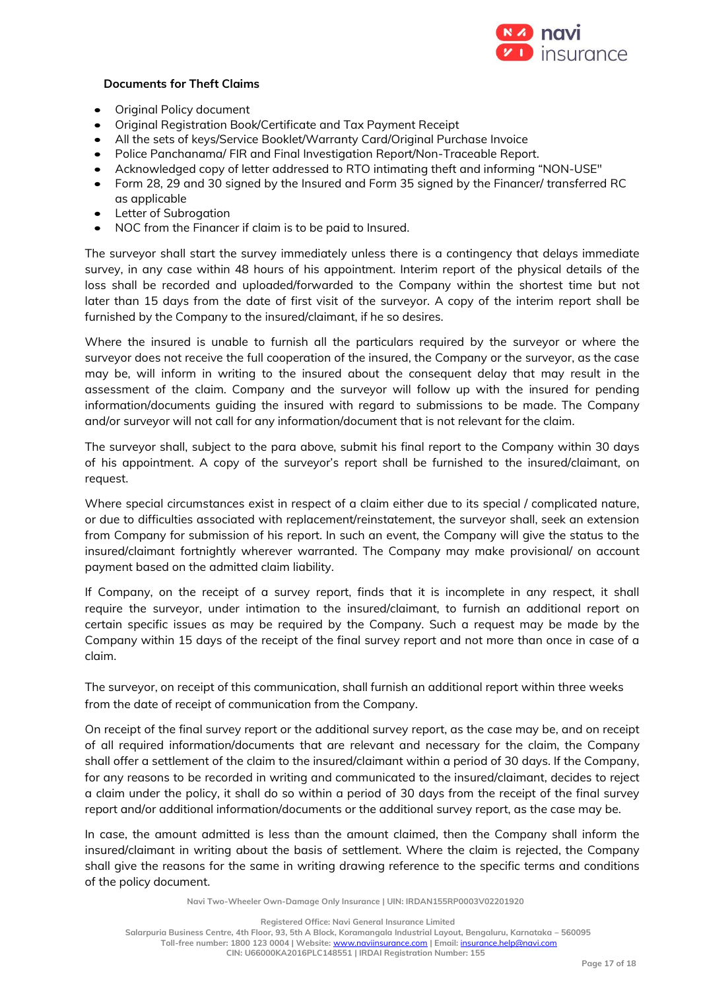

# **Documents for Theft Claims**

- Original Policy document
- Original Registration Book/Certificate and Tax Payment Receipt
- All the sets of keys/Service Booklet/Warranty Card/Original Purchase Invoice
- Police Panchanama/ FIR and Final Investigation Report/Non-Traceable Report.
- Acknowledged copy of letter addressed to RTO intimating theft and informing "NON-USE"
- Form 28, 29 and 30 signed by the Insured and Form 35 signed by the Financer/ transferred RC as applicable
- Letter of Subrogation
- NOC from the Financer if claim is to be paid to Insured.

The surveyor shall start the survey immediately unless there is a contingency that delays immediate survey, in any case within 48 hours of his appointment. Interim report of the physical details of the loss shall be recorded and uploaded/forwarded to the Company within the shortest time but not later than 15 days from the date of first visit of the surveyor. A copy of the interim report shall be furnished by the Company to the insured/claimant, if he so desires.

Where the insured is unable to furnish all the particulars required by the surveyor or where the surveyor does not receive the full cooperation of the insured, the Company or the surveyor, as the case may be, will inform in writing to the insured about the consequent delay that may result in the assessment of the claim. Company and the surveyor will follow up with the insured for pending information/documents guiding the insured with regard to submissions to be made. The Company and/or surveyor will not call for any information/document that is not relevant for the claim.

The surveyor shall, subject to the para above, submit his final report to the Company within 30 days of his appointment. A copy of the surveyor's report shall be furnished to the insured/claimant, on request.

Where special circumstances exist in respect of a claim either due to its special / complicated nature, or due to difficulties associated with replacement/reinstatement, the surveyor shall, seek an extension from Company for submission of his report. In such an event, the Company will give the status to the insured/claimant fortnightly wherever warranted. The Company may make provisional/ on account payment based on the admitted claim liability.

If Company, on the receipt of a survey report, finds that it is incomplete in any respect, it shall require the surveyor, under intimation to the insured/claimant, to furnish an additional report on certain specific issues as may be required by the Company. Such a request may be made by the Company within 15 days of the receipt of the final survey report and not more than once in case of a claim.

The surveyor, on receipt of this communication, shall furnish an additional report within three weeks from the date of receipt of communication from the Company.

On receipt of the final survey report or the additional survey report, as the case may be, and on receipt of all required information/documents that are relevant and necessary for the claim, the Company shall offer a settlement of the claim to the insured/claimant within a period of 30 days. If the Company, for any reasons to be recorded in writing and communicated to the insured/claimant, decides to reject a claim under the policy, it shall do so within a period of 30 days from the receipt of the final survey report and/or additional information/documents or the additional survey report, as the case may be.

In case, the amount admitted is less than the amount claimed, then the Company shall inform the insured/claimant in writing about the basis of settlement. Where the claim is rejected, the Company shall give the reasons for the same in writing drawing reference to the specific terms and conditions of the policy document.

**Navi Two-Wheeler Own-Damage Only Insurance | UIN: IRDAN155RP0003V02201920**

**Registered Office: Navi General Insurance Limited**

**Salarpuria Business Centre, 4th Floor, 93, 5th A Block, Koramangala Industrial Layout, Bengaluru, Karnataka – 560095 Toll-free number: 1800 123 0004 | Website:** [www.naviinsurance.com](http://www.naviinsurance.com/) **| Email:** [insurance.help@navi.com](mailto:insurance.help@navi.com)